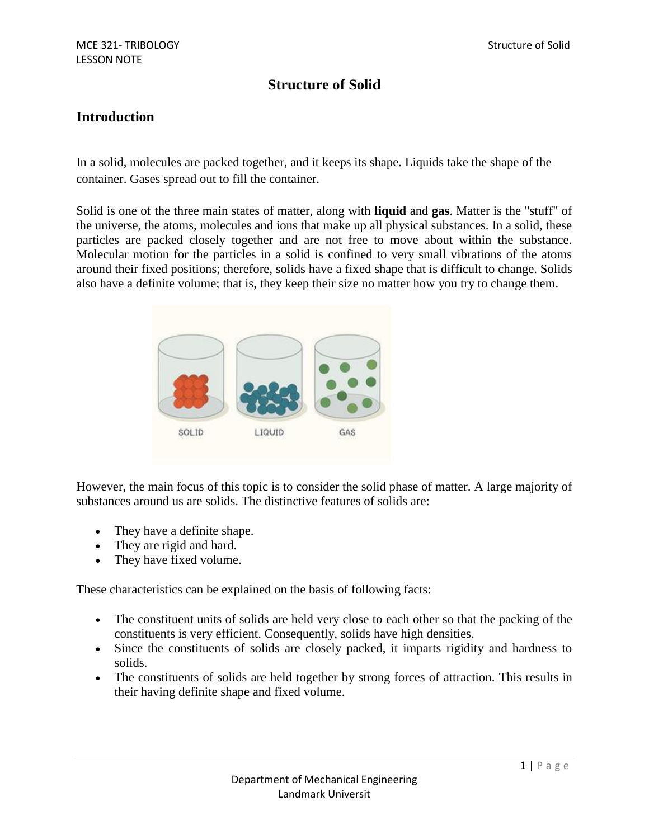# **Structure of Solid**

### **Introduction**

In a solid, molecules are packed together, and it keeps its shape. Liquids take the shape of the container. Gases spread out to fill the container.

Solid is one of the three main states of matter, along with **[liquid](http://www.livescience.com/46972-liquids.html)** and **[gas](http://www.livescience.com/53304-gases.html)**. Matter is the "stuff" of the universe, the atoms, molecules and ions that make up all physical substances. In a solid, these particles are packed closely together and are not free to move about within the substance. Molecular motion for the particles in a solid is confined to very small vibrations of the atoms around their fixed positions; therefore, solids have a fixed shape that is difficult to change. Solids also have a definite volume; that is, they keep their size no matter how you try to change them.



However, the main focus of this topic is to consider the solid phase of matter. A large majority of substances around us are solids. The distinctive features of solids are:

- They have a definite shape.
- They are rigid and hard.
- They have fixed volume.

These characteristics can be explained on the basis of following facts:

- The constituent units of solids are held very close to each other so that the packing of the constituents is very efficient. Consequently, solids have high densities.
- Since the constituents of solids are closely packed, it imparts rigidity and hardness to solids.
- The constituents of solids are held together by strong forces of attraction. This results in their having definite shape and fixed volume.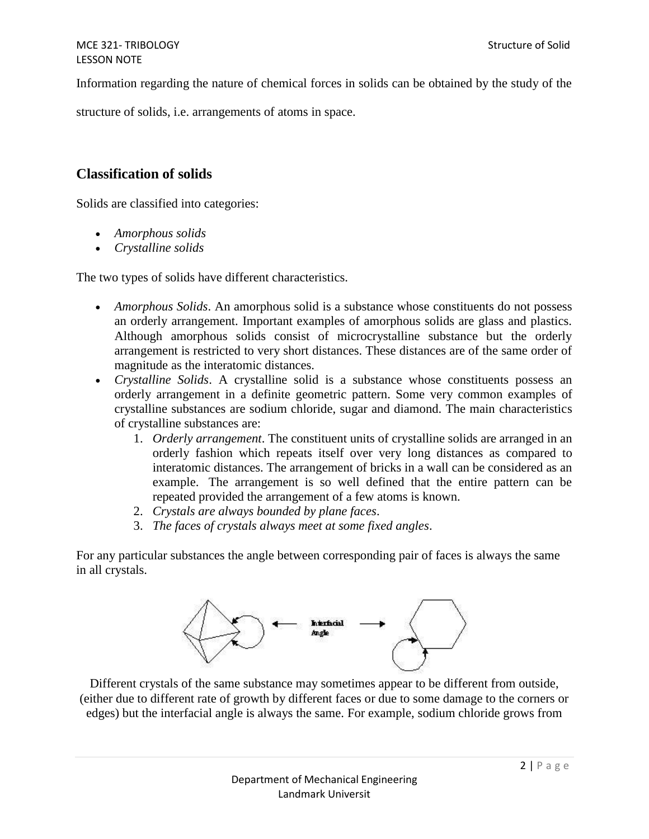Information regarding the nature of chemical forces in solids can be obtained by the study of the

structure of solids, i.e. arrangements of atoms in space.

## **Classification of solids**

Solids are classified into categories:

- *Amorphous solids*
- *Crystalline solids*

The two types of solids have different characteristics.

- *Amorphous Solids*. An amorphous solid is a substance whose constituents do not possess an orderly arrangement. Important examples of amorphous solids are glass and plastics. Although amorphous solids consist of microcrystalline substance but the orderly arrangement is restricted to very short distances. These distances are of the same order of magnitude as the interatomic distances.
- *Crystalline Solids*. A crystalline solid is a substance whose constituents possess an orderly arrangement in a definite geometric pattern. Some very common examples of crystalline substances are sodium chloride, sugar and diamond. The main characteristics of crystalline substances are:
	- 1. *Orderly arrangement*. The constituent units of crystalline solids are arranged in an orderly fashion which repeats itself over very long distances as compared to interatomic distances. The arrangement of bricks in a wall can be considered as an example. The arrangement is so well defined that the entire pattern can be repeated provided the arrangement of a few atoms is known.
	- 2. *Crystals are always bounded by plane faces*.
	- 3. *The faces of crystals always meet at some fixed angles*.

For any particular substances the angle between corresponding pair of faces is always the same in all crystals.



Different crystals of the same substance may sometimes appear to be different from outside, (either due to different rate of growth by different faces or due to some damage to the corners or edges) but the interfacial angle is always the same. For example, sodium chloride grows from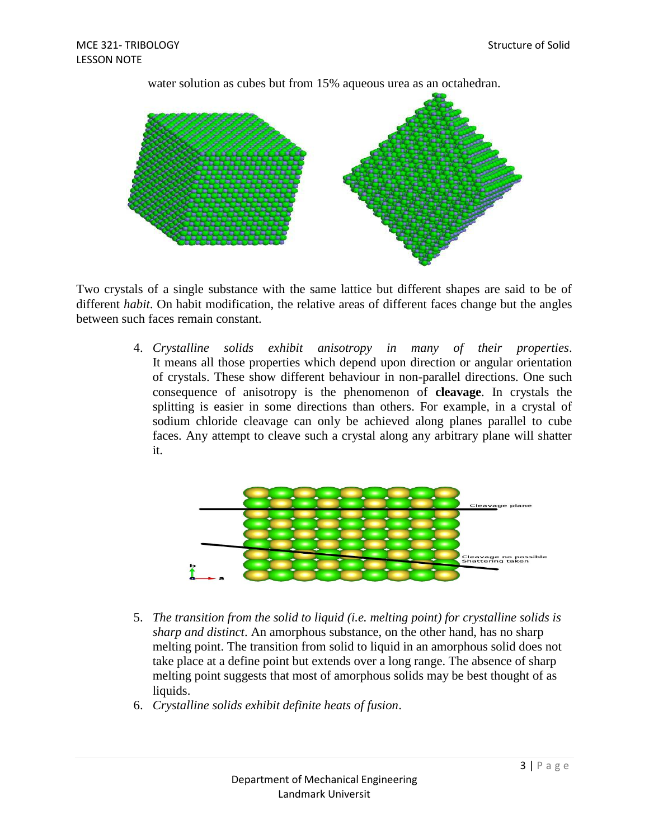

water solution as cubes but from 15% aqueous urea as an octahedran.

Two crystals of a single substance with the same lattice but different shapes are said to be of different *habit*. On habit modification, the relative areas of different faces change but the angles between such faces remain constant.

> 4. *Crystalline solids exhibit anisotropy in many of their properties*. It means all those properties which depend upon direction or angular orientation of crystals. These show different behaviour in non-parallel directions. One such consequence of anisotropy is the phenomenon of **cleavage**. In crystals the splitting is easier in some directions than others. For example, in a crystal of sodium chloride cleavage can only be achieved along planes parallel to cube faces. Any attempt to cleave such a crystal along any arbitrary plane will shatter it.



- 5. *The transition from the solid to liquid (i.e. melting point) for crystalline solids is sharp and distinct*. An amorphous substance, on the other hand, has no sharp melting point. The transition from solid to liquid in an amorphous solid does not take place at a define point but extends over a long range. The absence of sharp melting point suggests that most of amorphous solids may be best thought of as liquids.
- 6. *Crystalline solids exhibit definite heats of fusion*.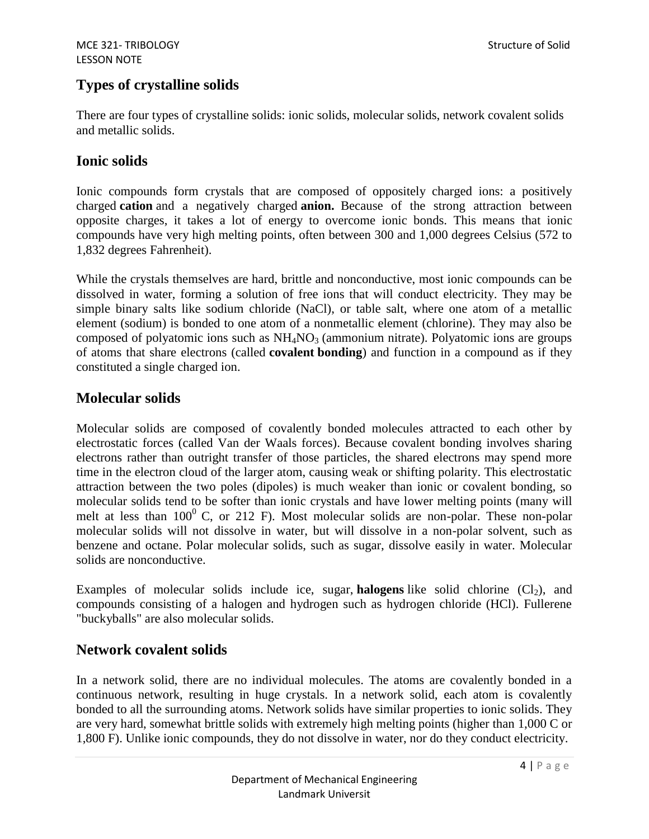# **Types of crystalline solids**

There are four types of crystalline solids: ionic solids, molecular solids, network covalent solids and metallic solids.

## **Ionic solids**

Ionic compounds form crystals that are composed of oppositely charged ions: a positively charged **cation** and a negatively charged **anion.** Because of the strong attraction between opposite charges, it takes a lot of energy to overcome ionic bonds. This means that ionic compounds have very high melting points, often between 300 and 1,000 degrees Celsius (572 to 1,832 degrees Fahrenheit).

While the crystals themselves are hard, brittle and nonconductive, most ionic compounds can be dissolved in water, forming a solution of free ions that will conduct electricity. They may be simple binary salts like sodium chloride (NaCl), or table salt, where one atom of a metallic element (sodium) is bonded to one atom of a nonmetallic element (chlorine). They may also be composed of polyatomic ions such as  $NH<sub>4</sub>NO<sub>3</sub>$  (ammonium nitrate). Polyatomic ions are groups of atoms that share electrons (called **covalent bonding**) and function in a compound as if they constituted a single charged ion.

# **Molecular solids**

Molecular solids are composed of covalently bonded molecules attracted to each other by electrostatic forces (called Van der Waals forces). Because covalent bonding involves sharing electrons rather than outright transfer of those particles, the shared electrons may spend more time in the electron cloud of the larger atom, causing weak or shifting polarity. This electrostatic attraction between the two poles (dipoles) is much weaker than ionic or covalent bonding, so molecular solids tend to be softer than ionic crystals and have lower melting points (many will melt at less than  $100^{\circ}$  C, or 212 F). Most molecular solids are non-polar. These non-polar molecular solids will not dissolve in water, but will dissolve in a non-polar solvent, such as benzene and octane. Polar molecular solids, such as sugar, dissolve easily in water. Molecular solids are nonconductive.

Examples of molecular solids include ice, sugar, **[halogens](http://www.livescience.com/28507-element-groups.html)** like solid chlorine  $(Cl<sub>2</sub>)$ , and compounds consisting of a halogen and hydrogen such as hydrogen chloride (HCl). Fullerene "buckyballs" are also molecular solids.

# **Network covalent solids**

In a network solid, there are no individual molecules. The atoms are covalently bonded in a continuous network, resulting in huge crystals. In a network solid, each atom is covalently bonded to all the surrounding atoms. Network solids have similar properties to ionic solids. They are very hard, somewhat brittle solids with extremely high melting points (higher than 1,000 C or 1,800 F). Unlike ionic compounds, they do not dissolve in water, nor do they conduct electricity.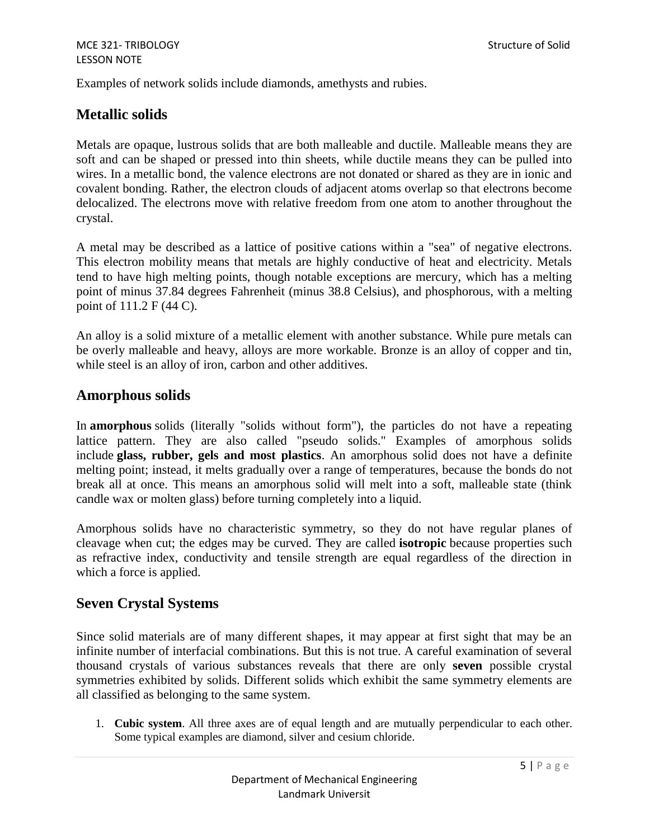Examples of network solids include diamonds, amethysts and rubies.

### **Metallic solids**

Metals are opaque, lustrous solids that are both malleable and ductile. Malleable means they are soft and can be shaped or pressed into thin sheets, while ductile means they can be pulled into wires. In a metallic bond, the valence electrons are not donated or shared as they are in ionic and covalent bonding. Rather, the electron clouds of adjacent atoms overlap so that electrons become delocalized. The electrons move with relative freedom from one atom to another throughout the crystal.

A metal may be described as a lattice of positive cations within a "sea" of negative electrons. This electron mobility means that metals are highly conductive of heat and electricity. Metals tend to have high melting points, though notable exceptions are mercury, which has a melting point of minus 37.84 degrees Fahrenheit (minus 38.8 Celsius), and phosphorous, with a melting point of 111.2 F (44 C).

An alloy is a solid mixture of a metallic element with another substance. While pure metals can be overly malleable and heavy, alloys are more workable. Bronze is an alloy of copper and tin, while steel is an alloy of iron, carbon and other additives.

#### **Amorphous solids**

In **amorphous** solids (literally "solids without form"), the particles do not have a repeating lattice pattern. They are also called "pseudo solids." Examples of amorphous solids include **[glass,](http://www.livescience.com/7511-bizarre-properties-glass-revealed.html) rubber, gels and most plastics**. An amorphous solid does not have a definite melting point; instead, it melts gradually over a range of temperatures, because the bonds do not break all at once. This means an amorphous solid will melt into a soft, malleable state (think candle wax or molten glass) before turning completely into a liquid.

Amorphous solids have no characteristic symmetry, so they do not have regular planes of cleavage when cut; the edges may be curved. They are called **isotropic** because properties such as refractive index, conductivity and tensile strength are equal regardless of the direction in which a force is applied.

#### **Seven Crystal Systems**

Since solid materials are of many different shapes, it may appear at first sight that may be an infinite number of interfacial combinations. But this is not true. A careful examination of several thousand crystals of various substances reveals that there are only **seven** possible crystal symmetries exhibited by solids. Different solids which exhibit the same symmetry elements are all classified as belonging to the same system.

1. **Cubic system**. All three axes are of equal length and are mutually perpendicular to each other. Some typical examples are diamond, silver and cesium chloride.